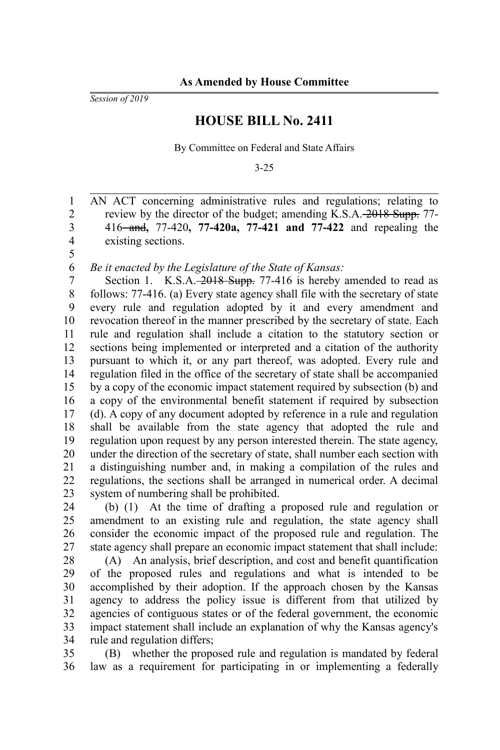*Session of 2019*

## **HOUSE BILL No. 2411**

By Committee on Federal and State Affairs

3-25

AN ACT concerning administrative rules and regulations; relating to review by the director of the budget; amending K.S.A. 2018 Supp. 77-416 and**,** 77-420**, 77-420a, 77-421 and 77-422** and repealing the existing sections. 1 2 3 4 5

*Be it enacted by the Legislature of the State of Kansas:* 6

Section 1. K.S.A. 2018 Supp. 77-416 is hereby amended to read as follows: 77-416. (a) Every state agency shall file with the secretary of state every rule and regulation adopted by it and every amendment and revocation thereof in the manner prescribed by the secretary of state. Each rule and regulation shall include a citation to the statutory section or sections being implemented or interpreted and a citation of the authority pursuant to which it, or any part thereof, was adopted. Every rule and regulation filed in the office of the secretary of state shall be accompanied by a copy of the economic impact statement required by subsection (b) and a copy of the environmental benefit statement if required by subsection (d). A copy of any document adopted by reference in a rule and regulation shall be available from the state agency that adopted the rule and regulation upon request by any person interested therein. The state agency, under the direction of the secretary of state, shall number each section with a distinguishing number and, in making a compilation of the rules and regulations, the sections shall be arranged in numerical order. A decimal system of numbering shall be prohibited. 7 8 9 10 11 12 13 14 15 16 17 18 19 20 21 22 23

(b) (1) At the time of drafting a proposed rule and regulation or amendment to an existing rule and regulation, the state agency shall consider the economic impact of the proposed rule and regulation. The state agency shall prepare an economic impact statement that shall include: 24 25 26 27

(A) An analysis, brief description, and cost and benefit quantification of the proposed rules and regulations and what is intended to be accomplished by their adoption. If the approach chosen by the Kansas agency to address the policy issue is different from that utilized by agencies of contiguous states or of the federal government, the economic impact statement shall include an explanation of why the Kansas agency's rule and regulation differs; 28 29 30 31 32 33 34

(B) whether the proposed rule and regulation is mandated by federal law as a requirement for participating in or implementing a federally 35 36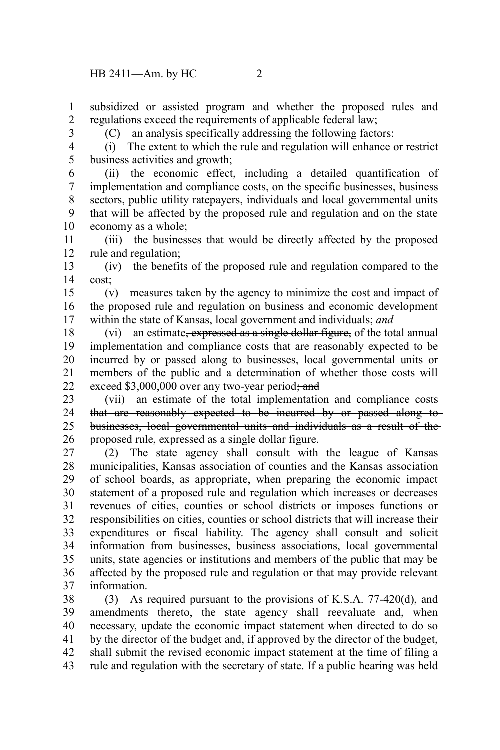subsidized or assisted program and whether the proposed rules and regulations exceed the requirements of applicable federal law; 1 2

3

(C) an analysis specifically addressing the following factors:

4 5

(i) The extent to which the rule and regulation will enhance or restrict business activities and growth;

(ii) the economic effect, including a detailed quantification of implementation and compliance costs, on the specific businesses, business sectors, public utility ratepayers, individuals and local governmental units that will be affected by the proposed rule and regulation and on the state economy as a whole; 6 7 8 9 10

(iii) the businesses that would be directly affected by the proposed rule and regulation; 11 12

(iv) the benefits of the proposed rule and regulation compared to the cost; 13 14

(v) measures taken by the agency to minimize the cost and impact of the proposed rule and regulation on business and economic development within the state of Kansas, local government and individuals; *and* 15 16 17

(vi) an estimate, expressed as a single dollar figure, of the total annual implementation and compliance costs that are reasonably expected to be incurred by or passed along to businesses, local governmental units or members of the public and a determination of whether those costs will exceed  $$3,000,000$  over any two-year period; and 18 19 20 21 22

(vii) an estimate of the total implementation and compliance costs that are reasonably expected to be incurred by or passed along to businesses, local governmental units and individuals as a result of the proposed rule, expressed as a single dollar figure. 23 24 25 26

(2) The state agency shall consult with the league of Kansas municipalities, Kansas association of counties and the Kansas association of school boards, as appropriate, when preparing the economic impact statement of a proposed rule and regulation which increases or decreases revenues of cities, counties or school districts or imposes functions or responsibilities on cities, counties or school districts that will increase their expenditures or fiscal liability. The agency shall consult and solicit information from businesses, business associations, local governmental units, state agencies or institutions and members of the public that may be affected by the proposed rule and regulation or that may provide relevant information. 27 28 29 30 31 32 33 34 35 36 37

(3) As required pursuant to the provisions of K.S.A. 77-420(d), and amendments thereto, the state agency shall reevaluate and, when necessary, update the economic impact statement when directed to do so by the director of the budget and, if approved by the director of the budget, shall submit the revised economic impact statement at the time of filing a rule and regulation with the secretary of state. If a public hearing was held 38 39 40 41 42 43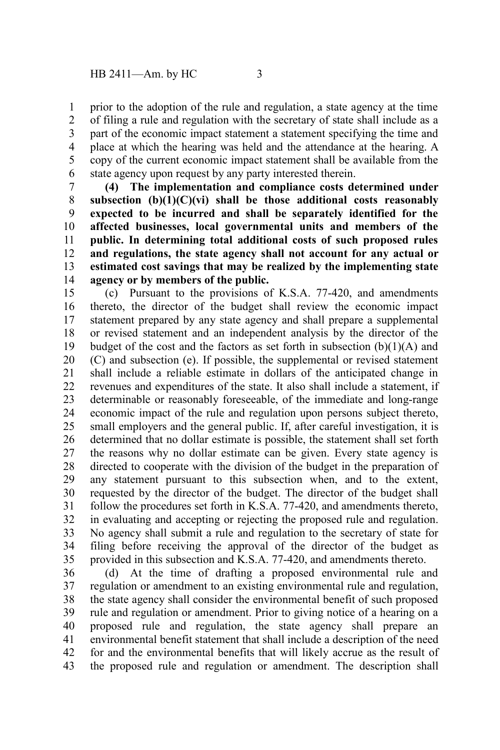prior to the adoption of the rule and regulation, a state agency at the time of filing a rule and regulation with the secretary of state shall include as a part of the economic impact statement a statement specifying the time and place at which the hearing was held and the attendance at the hearing. A copy of the current economic impact statement shall be available from the state agency upon request by any party interested therein. 1 2 3 4 5 6

**(4) The implementation and compliance costs determined under subsection (b)(1)(C)(vi) shall be those additional costs reasonably expected to be incurred and shall be separately identified for the affected businesses, local governmental units and members of the public. In determining total additional costs of such proposed rules and regulations, the state agency shall not account for any actual or estimated cost savings that may be realized by the implementing state agency or by members of the public.** 7 8 9 10 11 12 13 14

(c) Pursuant to the provisions of K.S.A. 77-420, and amendments thereto, the director of the budget shall review the economic impact statement prepared by any state agency and shall prepare a supplemental or revised statement and an independent analysis by the director of the budget of the cost and the factors as set forth in subsection  $(b)(1)(A)$  and (C) and subsection (e). If possible, the supplemental or revised statement shall include a reliable estimate in dollars of the anticipated change in revenues and expenditures of the state. It also shall include a statement, if determinable or reasonably foreseeable, of the immediate and long-range economic impact of the rule and regulation upon persons subject thereto, small employers and the general public. If, after careful investigation, it is determined that no dollar estimate is possible, the statement shall set forth the reasons why no dollar estimate can be given. Every state agency is directed to cooperate with the division of the budget in the preparation of any statement pursuant to this subsection when, and to the extent, requested by the director of the budget. The director of the budget shall follow the procedures set forth in K.S.A. 77-420, and amendments thereto, in evaluating and accepting or rejecting the proposed rule and regulation. No agency shall submit a rule and regulation to the secretary of state for filing before receiving the approval of the director of the budget as provided in this subsection and K.S.A. 77-420, and amendments thereto. 15 16 17 18 19 20 21 22 23 24 25 26 27 28 29 30 31 32 33 34 35

(d) At the time of drafting a proposed environmental rule and regulation or amendment to an existing environmental rule and regulation, the state agency shall consider the environmental benefit of such proposed rule and regulation or amendment. Prior to giving notice of a hearing on a proposed rule and regulation, the state agency shall prepare an environmental benefit statement that shall include a description of the need for and the environmental benefits that will likely accrue as the result of the proposed rule and regulation or amendment. The description shall 36 37 38 39 40 41 42 43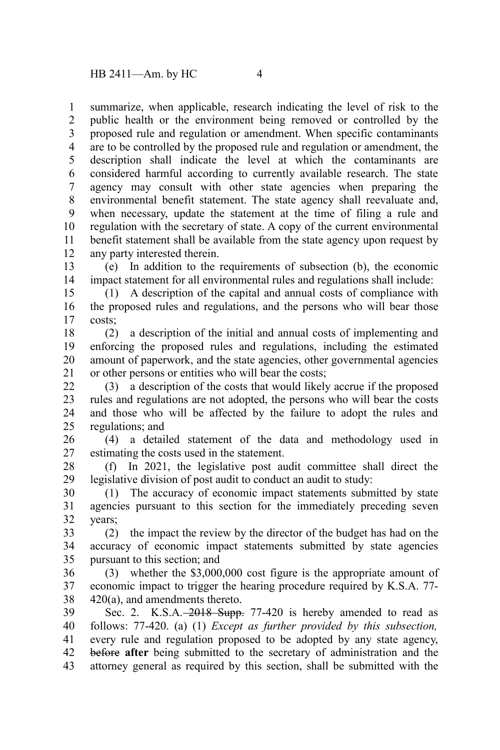summarize, when applicable, research indicating the level of risk to the public health or the environment being removed or controlled by the proposed rule and regulation or amendment. When specific contaminants are to be controlled by the proposed rule and regulation or amendment, the description shall indicate the level at which the contaminants are considered harmful according to currently available research. The state agency may consult with other state agencies when preparing the environmental benefit statement. The state agency shall reevaluate and, when necessary, update the statement at the time of filing a rule and regulation with the secretary of state. A copy of the current environmental benefit statement shall be available from the state agency upon request by 1 2 3 4 5 6 7 8 9 10 11

any party interested therein. 12

(e) In addition to the requirements of subsection (b), the economic impact statement for all environmental rules and regulations shall include: 13 14

(1) A description of the capital and annual costs of compliance with the proposed rules and regulations, and the persons who will bear those costs: 15 16 17

(2) a description of the initial and annual costs of implementing and enforcing the proposed rules and regulations, including the estimated amount of paperwork, and the state agencies, other governmental agencies or other persons or entities who will bear the costs; 18 19 20 21

(3) a description of the costs that would likely accrue if the proposed rules and regulations are not adopted, the persons who will bear the costs and those who will be affected by the failure to adopt the rules and regulations; and 22 23 24 25

(4) a detailed statement of the data and methodology used in estimating the costs used in the statement. 26 27

(f) In 2021, the legislative post audit committee shall direct the legislative division of post audit to conduct an audit to study: 28 29

(1) The accuracy of economic impact statements submitted by state agencies pursuant to this section for the immediately preceding seven years; 30 31 32

(2) the impact the review by the director of the budget has had on the accuracy of economic impact statements submitted by state agencies pursuant to this section; and 33 34 35

(3) whether the \$3,000,000 cost figure is the appropriate amount of economic impact to trigger the hearing procedure required by K.S.A. 77- 420(a), and amendments thereto. 36 37 38

Sec. 2. K.S.A. - 2018 Supp. 77-420 is hereby amended to read as follows: 77-420. (a) (1) *Except as further provided by this subsection,* every rule and regulation proposed to be adopted by any state agency, before **after** being submitted to the secretary of administration and the attorney general as required by this section, shall be submitted with the 39 40 41 42 43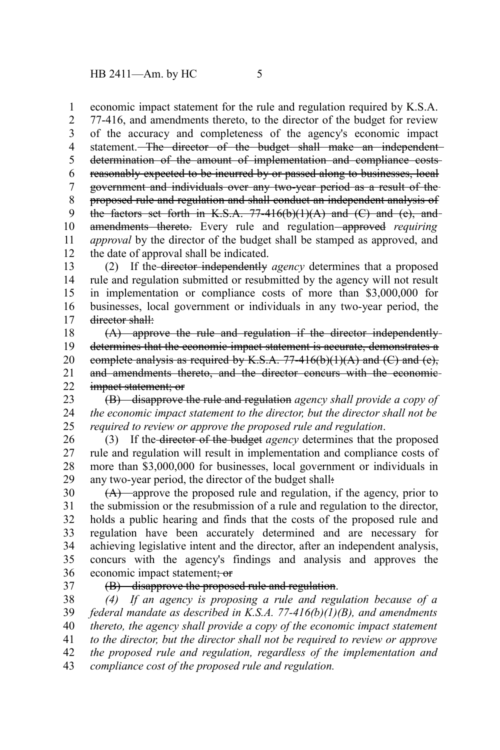economic impact statement for the rule and regulation required by K.S.A. 1

77-416, and amendments thereto, to the director of the budget for review of the accuracy and completeness of the agency's economic impact statement. The director of the budget shall make an independent determination of the amount of implementation and compliance costsreasonably expected to be incurred by or passed along to businesses, local government and individuals over any two-year period as a result of the proposed rule and regulation and shall conduct an independent analysis of the factors set forth in K.S.A.  $77-416(b)(1)(A)$  and  $(C)$  and  $(e)$ , and amendments thereto. Every rule and regulation approved *requiring approval* by the director of the budget shall be stamped as approved, and the date of approval shall be indicated. 2 3 4 5 6 7 8 9 10 11 12

(2) If the director independently *agency* determines that a proposed rule and regulation submitted or resubmitted by the agency will not result in implementation or compliance costs of more than \$3,000,000 for businesses, local government or individuals in any two-year period, the director shall: 13 14 15 16 17

(A) approve the rule and regulation if the director independently determines that the economic impact statement is accurate, demonstrates a complete analysis as required by K.S.A.  $77-416(b)(1)(A)$  and  $(C)$  and  $(e)$ , and amendments thereto, and the director concurs with the economic impact statement; or 18 19 20 21 22

(B) disapprove the rule and regulation *agency shall provide a copy of the economic impact statement to the director, but the director shall not be required to review or approve the proposed rule and regulation*. 23 24 25

(3) If the director of the budget *agency* determines that the proposed rule and regulation will result in implementation and compliance costs of more than \$3,000,000 for businesses, local government or individuals in any two-year period, the director of the budget shall: 26 27 28 29

(A) approve the proposed rule and regulation, if the agency, prior to the submission or the resubmission of a rule and regulation to the director, holds a public hearing and finds that the costs of the proposed rule and regulation have been accurately determined and are necessary for achieving legislative intent and the director, after an independent analysis, concurs with the agency's findings and analysis and approves the economic impact statement; or 30 31 32 33 34 35 36

37

## (B) disapprove the proposed rule and regulation.

*(4) If an agency is proposing a rule and regulation because of a federal mandate as described in K.S.A. 77-416(b)(1)(B), and amendments thereto, the agency shall provide a copy of the economic impact statement to the director, but the director shall not be required to review or approve the proposed rule and regulation, regardless of the implementation and compliance cost of the proposed rule and regulation.* 38 39 40 41 42 43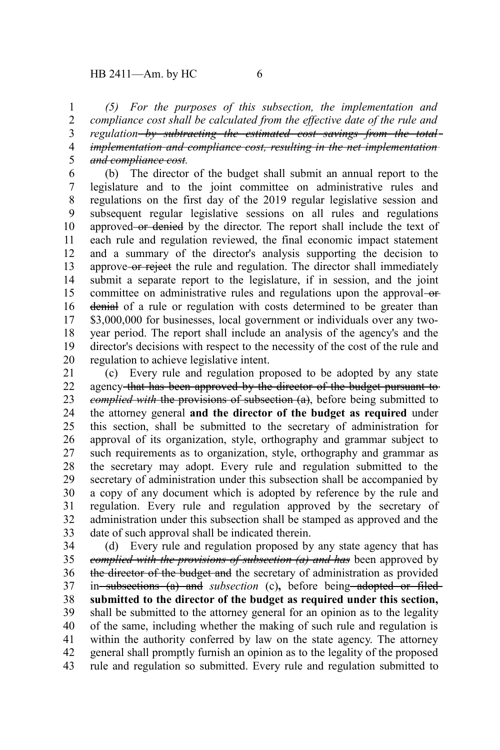*(5) For the purposes of this subsection, the implementation and compliance cost shall be calculated from the effective date of the rule and regulation by subtracting the estimated cost savings from the total implementation and compliance cost, resulting in the net implementation and compliance cost.* 1 2 3 4 5

(b) The director of the budget shall submit an annual report to the legislature and to the joint committee on administrative rules and regulations on the first day of the 2019 regular legislative session and subsequent regular legislative sessions on all rules and regulations approved or denied by the director. The report shall include the text of each rule and regulation reviewed, the final economic impact statement and a summary of the director's analysis supporting the decision to approve-or reject the rule and regulation. The director shall immediately submit a separate report to the legislature, if in session, and the joint committee on administrative rules and regulations upon the approval-ordenial of a rule or regulation with costs determined to be greater than \$3,000,000 for businesses, local government or individuals over any twoyear period. The report shall include an analysis of the agency's and the director's decisions with respect to the necessity of the cost of the rule and regulation to achieve legislative intent. 6 7 8 9 10 11 12 13 14 15 16 17 18 19 20

(c) Every rule and regulation proposed to be adopted by any state agency that has been approved by the director of the budget pursuant to *complied with* the provisions of subsection (a), before being submitted to the attorney general **and the director of the budget as required** under this section, shall be submitted to the secretary of administration for approval of its organization, style, orthography and grammar subject to such requirements as to organization, style, orthography and grammar as the secretary may adopt. Every rule and regulation submitted to the secretary of administration under this subsection shall be accompanied by a copy of any document which is adopted by reference by the rule and regulation. Every rule and regulation approved by the secretary of administration under this subsection shall be stamped as approved and the date of such approval shall be indicated therein. 21 22 23 24 25 26 27 28 29 30 31 32 33

(d) Every rule and regulation proposed by any state agency that has *complied with the provisions of subsection (a) and has* been approved by the director of the budget and the secretary of administration as provided in subsections (a) and *subsection* (c), before being adopted or filed**submitted to the director of the budget as required under this section,** shall be submitted to the attorney general for an opinion as to the legality of the same, including whether the making of such rule and regulation is within the authority conferred by law on the state agency. The attorney general shall promptly furnish an opinion as to the legality of the proposed rule and regulation so submitted. Every rule and regulation submitted to 34 35 36 37 38 39 40 41 42 43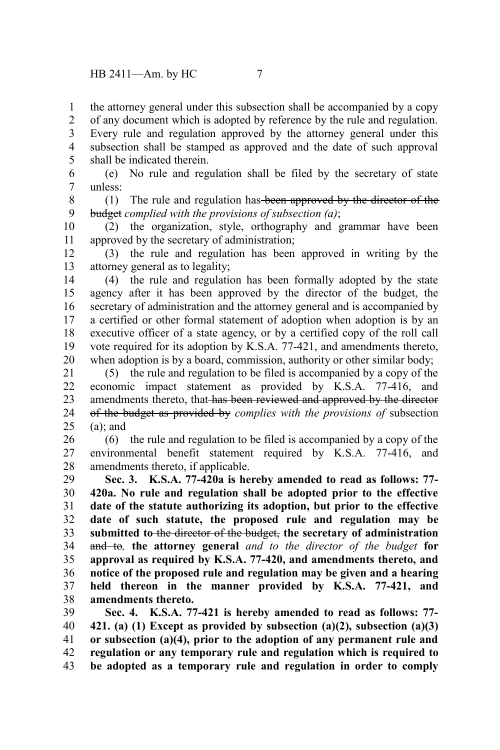the attorney general under this subsection shall be accompanied by a copy 1

of any document which is adopted by reference by the rule and regulation. Every rule and regulation approved by the attorney general under this subsection shall be stamped as approved and the date of such approval shall be indicated therein. 2 3 4 5

(e) No rule and regulation shall be filed by the secretary of state unless: 6 7

(1) The rule and regulation has been approved by the director of the budget *complied with the provisions of subsection (a)*; 8 9

(2) the organization, style, orthography and grammar have been approved by the secretary of administration; 10 11

(3) the rule and regulation has been approved in writing by the attorney general as to legality; 12 13

(4) the rule and regulation has been formally adopted by the state agency after it has been approved by the director of the budget, the secretary of administration and the attorney general and is accompanied by a certified or other formal statement of adoption when adoption is by an executive officer of a state agency, or by a certified copy of the roll call vote required for its adoption by K.S.A. 77-421, and amendments thereto, when adoption is by a board, commission, authority or other similar body; 14 15 16 17 18 19 20

(5) the rule and regulation to be filed is accompanied by a copy of the economic impact statement as provided by K.S.A. 77-416, and amendments thereto, that has been reviewed and approved by the director of the budget as provided by *complies with the provisions of* subsection  $(a)$ ; and 21 22 23 24 25

(6) the rule and regulation to be filed is accompanied by a copy of the environmental benefit statement required by K.S.A. 77-416, and amendments thereto, if applicable. 26 27 28

**Sec. 3. K.S.A. 77-420a is hereby amended to read as follows: 77- 420a. No rule and regulation shall be adopted prior to the effective date of the statute authorizing its adoption, but prior to the effective date of such statute, the proposed rule and regulation may be submitted to** the director of the budget, **the secretary of administration** and to*,* **the attorney general** *and to the director of the budget* **for approval as required by K.S.A. 77-420, and amendments thereto, and notice of the proposed rule and regulation may be given and a hearing held thereon in the manner provided by K.S.A. 77-421, and amendments thereto.** 29 30 31 32 33 34 35 36 37 38

**Sec. 4. K.S.A. 77-421 is hereby amended to read as follows: 77- 421. (a) (1) Except as provided by subsection (a)(2), subsection (a)(3) or subsection (a)(4), prior to the adoption of any permanent rule and regulation or any temporary rule and regulation which is required to be adopted as a temporary rule and regulation in order to comply** 39 40 41 42 43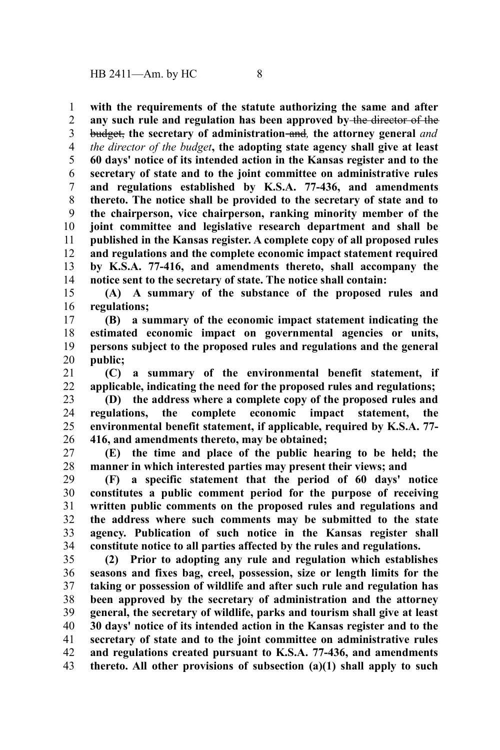**with the requirements of the statute authorizing the same and after any such rule and regulation has been approved by** the director of the budget, **the secretary of administration** and*,* **the attorney general** *and the director of the budget***, the adopting state agency shall give at least 60 days' notice of its intended action in the Kansas register and to the secretary of state and to the joint committee on administrative rules and regulations established by K.S.A. 77-436, and amendments thereto. The notice shall be provided to the secretary of state and to the chairperson, vice chairperson, ranking minority member of the joint committee and legislative research department and shall be published in the Kansas register. A complete copy of all proposed rules and regulations and the complete economic impact statement required by K.S.A. 77-416, and amendments thereto, shall accompany the notice sent to the secretary of state. The notice shall contain:** 1 2 3 4 5 6 7 8 9 10 11 12 13 14

**(A) A summary of the substance of the proposed rules and regulations;** 15 16

**(B) a summary of the economic impact statement indicating the estimated economic impact on governmental agencies or units, persons subject to the proposed rules and regulations and the general public;** 17 18 19 20

**(C) a summary of the environmental benefit statement, if applicable, indicating the need for the proposed rules and regulations;** 21 22

**(D) the address where a complete copy of the proposed rules and regulations, the complete economic impact statement, the environmental benefit statement, if applicable, required by K.S.A. 77- 416, and amendments thereto, may be obtained;** 23 24 25 26

**(E) the time and place of the public hearing to be held; the manner in which interested parties may present their views; and** 27 28

**(F) a specific statement that the period of 60 days' notice constitutes a public comment period for the purpose of receiving written public comments on the proposed rules and regulations and the address where such comments may be submitted to the state agency. Publication of such notice in the Kansas register shall constitute notice to all parties affected by the rules and regulations.** 29 30 31 32 33 34

**(2) Prior to adopting any rule and regulation which establishes seasons and fixes bag, creel, possession, size or length limits for the taking or possession of wildlife and after such rule and regulation has been approved by the secretary of administration and the attorney general, the secretary of wildlife, parks and tourism shall give at least 30 days' notice of its intended action in the Kansas register and to the secretary of state and to the joint committee on administrative rules and regulations created pursuant to K.S.A. 77-436, and amendments thereto. All other provisions of subsection (a)(1) shall apply to such** 35 36 37 38 39 40 41 42 43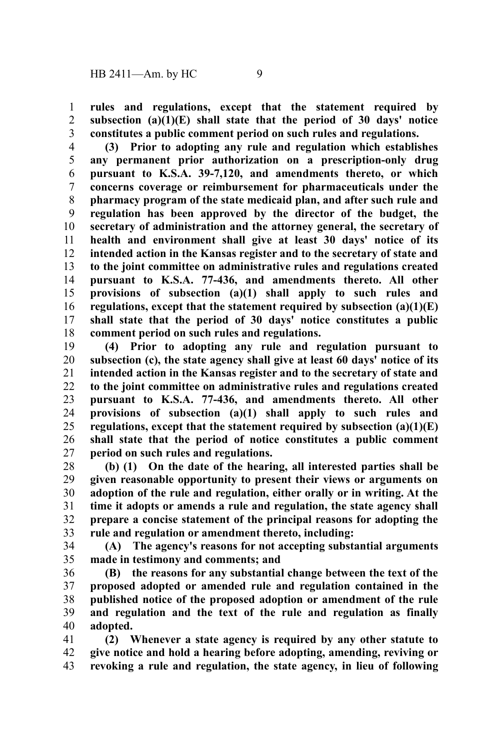**rules and regulations, except that the statement required by subsection (a)(1)(E) shall state that the period of 30 days' notice constitutes a public comment period on such rules and regulations.** 1 2 3

**(3) Prior to adopting any rule and regulation which establishes any permanent prior authorization on a prescription-only drug pursuant to K.S.A. 39-7,120, and amendments thereto, or which concerns coverage or reimbursement for pharmaceuticals under the pharmacy program of the state medicaid plan, and after such rule and regulation has been approved by the director of the budget, the secretary of administration and the attorney general, the secretary of health and environment shall give at least 30 days' notice of its intended action in the Kansas register and to the secretary of state and to the joint committee on administrative rules and regulations created pursuant to K.S.A. 77-436, and amendments thereto. All other provisions of subsection (a)(1) shall apply to such rules and regulations, except that the statement required by subsection (a)(1)(E) shall state that the period of 30 days' notice constitutes a public comment period on such rules and regulations.** 4 5 6 7 8 9 10 11 12 13 14 15 16 17 18

**(4) Prior to adopting any rule and regulation pursuant to subsection (c), the state agency shall give at least 60 days' notice of its intended action in the Kansas register and to the secretary of state and to the joint committee on administrative rules and regulations created pursuant to K.S.A. 77-436, and amendments thereto. All other provisions of subsection (a)(1) shall apply to such rules and regulations, except that the statement required by subsection (a)(1)(E) shall state that the period of notice constitutes a public comment period on such rules and regulations.** 19 20 21 22 23 24 25 26 27

**(b) (1) On the date of the hearing, all interested parties shall be given reasonable opportunity to present their views or arguments on adoption of the rule and regulation, either orally or in writing. At the time it adopts or amends a rule and regulation, the state agency shall prepare a concise statement of the principal reasons for adopting the rule and regulation or amendment thereto, including:** 28 29 30 31 32 33

**(A) The agency's reasons for not accepting substantial arguments made in testimony and comments; and** 34 35

**(B) the reasons for any substantial change between the text of the proposed adopted or amended rule and regulation contained in the published notice of the proposed adoption or amendment of the rule and regulation and the text of the rule and regulation as finally adopted.** 36 37 38 39 40

**(2) Whenever a state agency is required by any other statute to give notice and hold a hearing before adopting, amending, reviving or revoking a rule and regulation, the state agency, in lieu of following** 41 42 43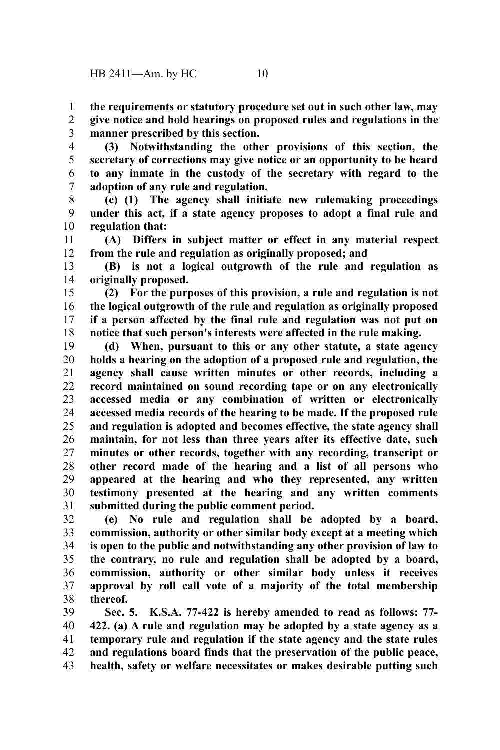**the requirements or statutory procedure set out in such other law, may give notice and hold hearings on proposed rules and regulations in the manner prescribed by this section.** 1 2 3

**(3) Notwithstanding the other provisions of this section, the secretary of corrections may give notice or an opportunity to be heard to any inmate in the custody of the secretary with regard to the adoption of any rule and regulation.** 4 5 6 7

**(c) (1) The agency shall initiate new rulemaking proceedings under this act, if a state agency proposes to adopt a final rule and regulation that:** 8 9 10

**(A) Differs in subject matter or effect in any material respect from the rule and regulation as originally proposed; and** 11 12

**(B) is not a logical outgrowth of the rule and regulation as originally proposed.** 13 14

**(2) For the purposes of this provision, a rule and regulation is not the logical outgrowth of the rule and regulation as originally proposed if a person affected by the final rule and regulation was not put on notice that such person's interests were affected in the rule making.** 15 16 17 18

**(d) When, pursuant to this or any other statute, a state agency holds a hearing on the adoption of a proposed rule and regulation, the agency shall cause written minutes or other records, including a record maintained on sound recording tape or on any electronically accessed media or any combination of written or electronically accessed media records of the hearing to be made. If the proposed rule and regulation is adopted and becomes effective, the state agency shall maintain, for not less than three years after its effective date, such minutes or other records, together with any recording, transcript or other record made of the hearing and a list of all persons who appeared at the hearing and who they represented, any written testimony presented at the hearing and any written comments submitted during the public comment period.** 19 20 21 22 23 24 25 26 27 28 29 30 31

**(e) No rule and regulation shall be adopted by a board, commission, authority or other similar body except at a meeting which is open to the public and notwithstanding any other provision of law to the contrary, no rule and regulation shall be adopted by a board, commission, authority or other similar body unless it receives approval by roll call vote of a majority of the total membership thereof.** 32 33 34 35 36 37 38

**Sec. 5. K.S.A. 77-422 is hereby amended to read as follows: 77- 422. (a) A rule and regulation may be adopted by a state agency as a temporary rule and regulation if the state agency and the state rules and regulations board finds that the preservation of the public peace, health, safety or welfare necessitates or makes desirable putting such** 39 40 41 42 43